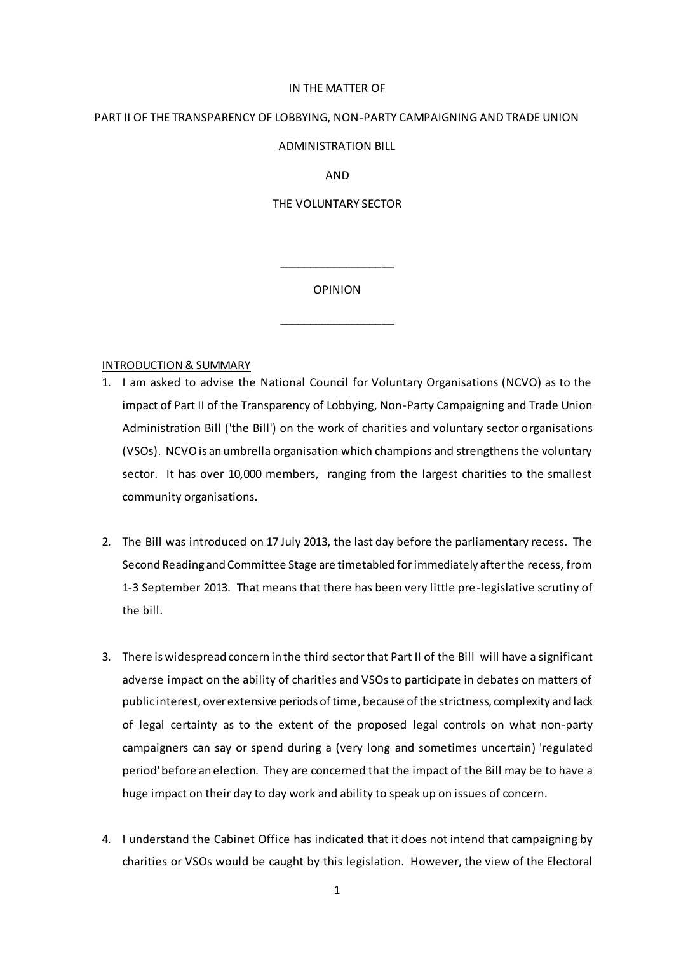#### IN THE MATTER OF

## PART II OF THE TRANSPARENCY OF LOBBYING, NON-PARTY CAMPAIGNING AND TRADE UNION

### ADMINISTRATION BILL

AND

### THE VOLUNTARY SECTOR

OPINION

\_\_\_\_\_\_\_\_\_\_\_\_\_\_\_\_\_\_\_

\_\_\_\_\_\_\_\_\_\_\_\_\_\_\_\_\_\_\_

#### INTRODUCTION & SUMMARY

- 1. I am asked to advise the National Council for Voluntary Organisations (NCVO) as to the impact of Part II of the Transparency of Lobbying, Non-Party Campaigning and Trade Union Administration Bill ('the Bill') on the work of charities and voluntary sector organisations (VSOs). NCVO is an umbrella organisation which champions and strengthens the voluntary sector. It has over 10,000 members, ranging from the largest charities to the smallest community organisations.
- 2. The Bill was introduced on 17 July 2013, the last day before the parliamentary recess. The Second Reading and Committee Stage are timetabled for immediately after the recess, from 1-3 September 2013. That means that there has been very little pre-legislative scrutiny of the bill.
- 3. There is widespread concern in the third sector that Part II of the Bill will have a significant adverse impact on the ability of charities and VSOs to participate in debates on matters of public interest, over extensive periods of time, because of the strictness, complexity and lack of legal certainty as to the extent of the proposed legal controls on what non-party campaigners can say or spend during a (very long and sometimes uncertain) 'regulated period'before an election. They are concerned that the impact of the Bill may be to have a huge impact on their day to day work and ability to speak up on issues of concern.
- 4. I understand the Cabinet Office has indicated that it does not intend that campaigning by charities or VSOs would be caught by this legislation. However, the view of the Electoral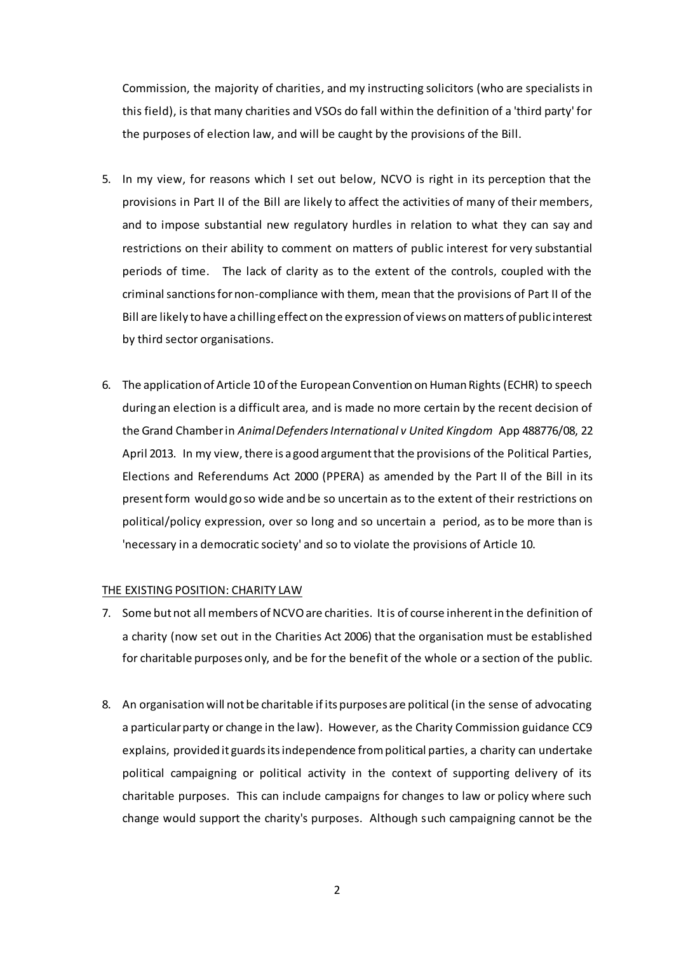Commission, the majority of charities, and my instructing solicitors (who are specialists in this field), is that many charities and VSOs do fall within the definition of a 'third party' for the purposes of election law, and will be caught by the provisions of the Bill.

- 5. In my view, for reasons which I set out below, NCVO is right in its perception that the provisions in Part II of the Bill are likely to affect the activities of many of their members, and to impose substantial new regulatory hurdles in relation to what they can say and restrictions on their ability to comment on matters of public interest for very substantial periods of time. The lack of clarity as to the extent of the controls, coupled with the criminal sanctions for non-compliance with them, mean that the provisions of Part II of the Bill are likely to have a chilling effect on the expression of views on matters of public interest by third sector organisations.
- 6. The application of Article 10 of the European Convention on Human Rights (ECHR) to speech during an election is a difficult area, and is made no more certain by the recent decision of the Grand Chamber in *Animal Defenders International v United Kingdom* App 488776/08, 22 April 2013. In my view, there is a good argument that the provisions of the Political Parties, Elections and Referendums Act 2000 (PPERA) as amended by the Part II of the Bill in its present form would go so wide and be so uncertain as to the extent of their restrictions on political/policy expression, over so long and so uncertain a period, as to be more than is 'necessary in a democratic society' and so to violate the provisions of Article 10.

## THE EXISTING POSITION: CHARITY LAW

- 7. Some but not all members of NCVO are charities. It is of course inherent in the definition of a charity (now set out in the Charities Act 2006) that the organisation must be established for charitable purposes only, and be for the benefit of the whole or a section of the public.
- 8. An organisation will not be charitable if its purposes are political (in the sense of advocating a particular party or change in the law). However, as the Charity Commission guidance CC9 explains, provided it guards its independence from political parties, a charity can undertake political campaigning or political activity in the context of supporting delivery of its charitable purposes. This can include campaigns for changes to law or policy where such change would support the charity's purposes. Although such campaigning cannot be the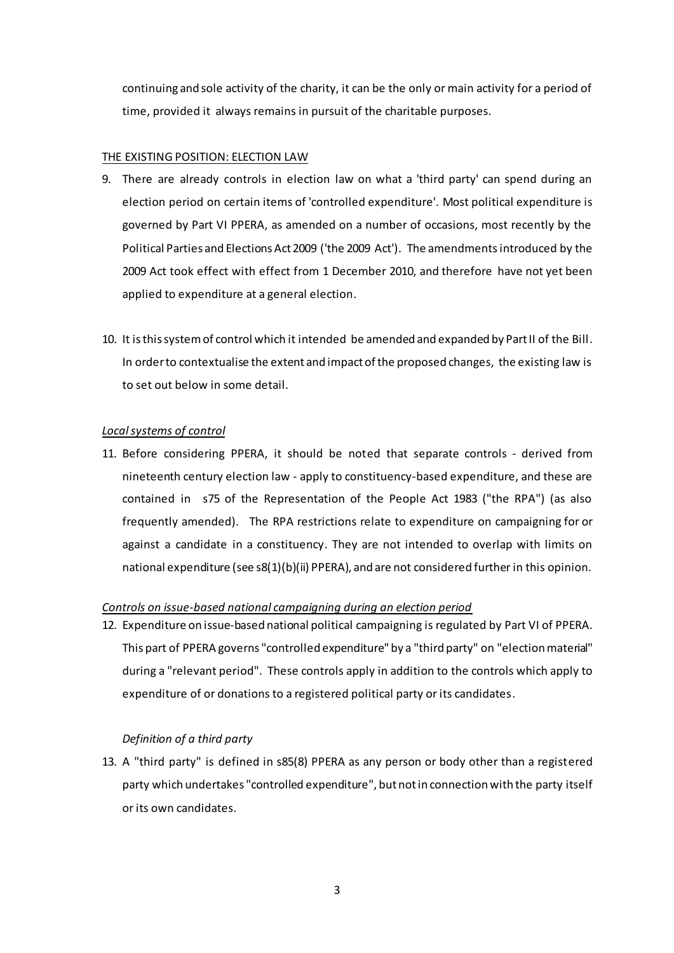continuing and sole activity of the charity, it can be the only or main activity for a period of time, provided it always remains in pursuit of the charitable purposes.

## THE EXISTING POSITION: ELECTION LAW

- 9. There are already controls in election law on what a 'third party' can spend during an election period on certain items of 'controlled expenditure'. Most political expenditure is governed by Part VI PPERA, as amended on a number of occasions, most recently by the Political Parties and Elections Act 2009 ('the 2009 Act'). The amendments introduced by the 2009 Act took effect with effect from 1 December 2010, and therefore have not yet been applied to expenditure at a general election.
- 10. It is this system of control which it intended be amended and expanded by Part II of the Bill. In order to contextualise the extent and impact of the proposed changes, the existing law is to set out below in some detail.

## *Local systems of control*

11. Before considering PPERA, it should be noted that separate controls - derived from nineteenth century election law - apply to constituency-based expenditure, and these are contained in s75 of the Representation of the People Act 1983 ("the RPA") (as also frequently amended). The RPA restrictions relate to expenditure on campaigning for or against a candidate in a constituency. They are not intended to overlap with limits on national expenditure (see s8(1)(b)(ii) PPERA), and are not considered further in this opinion.

## *Controls on issue-based national campaigning during an election period*

12. Expenditure on issue-based national political campaigning is regulated by Part VI of PPERA. This part of PPERA governs "controlled expenditure" by a "third party" on "election material" during a "relevant period". These controls apply in addition to the controls which apply to expenditure of or donations to a registered political party or its candidates.

# *Definition of a third party*

13. A "third party" is defined in s85(8) PPERA as any person or body other than a registered party which undertakes "controlled expenditure", but not in connection with the party itself or its own candidates.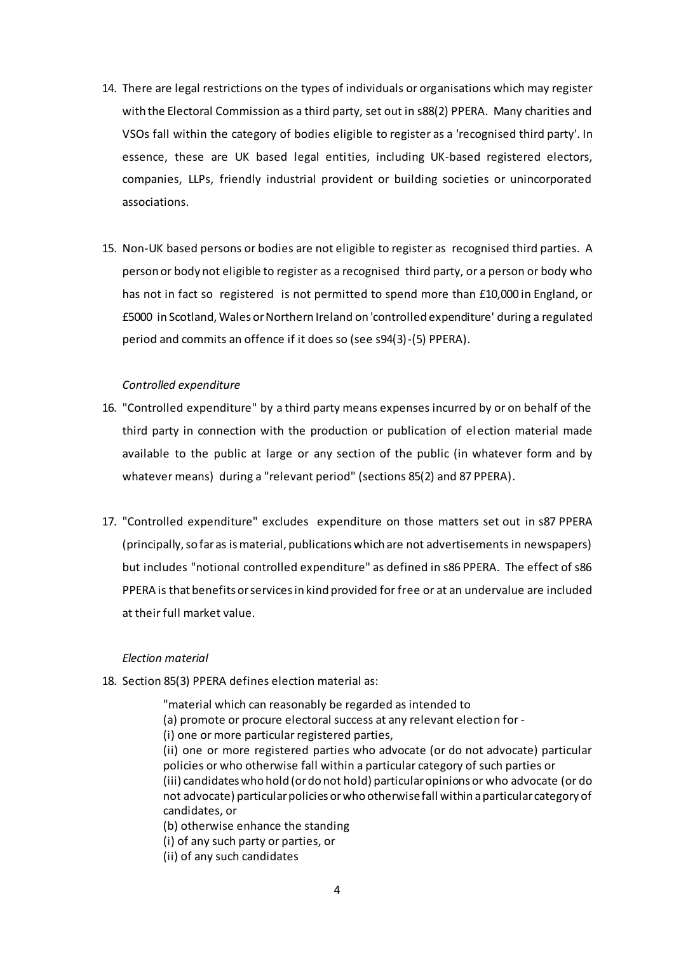- 14. There are legal restrictions on the types of individuals or organisations which may register with the Electoral Commission as a third party, set out in s88(2) PPERA. Many charities and VSOs fall within the category of bodies eligible to register as a 'recognised third party'. In essence, these are UK based legal entities, including UK-based registered electors, companies, LLPs, friendly industrial provident or building societies or unincorporated associations.
- 15. Non-UK based persons or bodies are not eligible to register as recognised third parties. A person or body not eligible to register as a recognised third party, or a person or body who has not in fact so registered is not permitted to spend more than £10,000 in England, or £5000 in Scotland, Wales or Northern Ireland on 'controlled expenditure' during a regulated period and commits an offence if it does so (see s94(3)-(5) PPERA).

### *Controlled expenditure*

- 16. "Controlled expenditure" by a third party means expenses incurred by or on behalf of the third party in connection with the production or publication of el ection material made available to the public at large or any section of the public (in whatever form and by whatever means) during a "relevant period" (sections 85(2) and 87 PPERA).
- 17. "Controlled expenditure" excludes expenditure on those matters set out in s87 PPERA (principally, so far as is material, publications which are not advertisements in newspapers) but includes "notional controlled expenditure" as defined in s86 PPERA. The effect of s86 PPERA is that benefits or services in kind provided for free or at an undervalue are included at their full market value.

#### *Election material*

18. Section 85(3) PPERA defines election material as:

"material which can reasonably be regarded as intended to

- (a) promote or procure electoral success at any relevant election for -
- (i) one or more particular registered parties,

(ii) one or more registered parties who advocate (or do not advocate) particular policies or who otherwise fall within a particular category of such parties or (iii) candidates who hold (or do not hold) particular opinions or who advocate (or do not advocate) particular policies or who otherwise fall within a particular category of candidates, or

(b) otherwise enhance the standing

(i) of any such party or parties, or

(ii) of any such candidates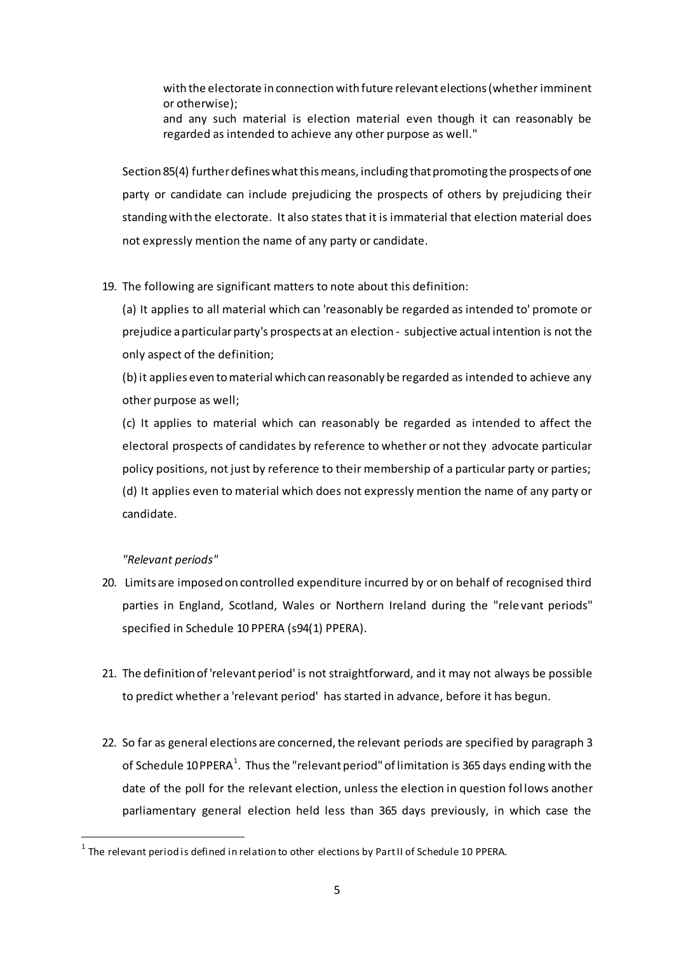with the electorate in connection with future relevant elections (whether imminent or otherwise);

and any such material is election material even though it can reasonably be regarded as intended to achieve any other purpose as well."

Section 85(4) further defines what this means, including that promoting the prospects of one party or candidate can include prejudicing the prospects of others by prejudicing their standing with the electorate. It also states that it is immaterial that election material does not expressly mention the name of any party or candidate.

# 19. The following are significant matters to note about this definition:

(a) It applies to all material which can 'reasonably be regarded as intended to' promote or prejudice a particular party's prospects at an election - subjective actual intention is not the only aspect of the definition;

(b) it applies even to material which can reasonably be regarded as intended to achieve any other purpose as well;

(c) It applies to material which can reasonably be regarded as intended to affect the electoral prospects of candidates by reference to whether or not they advocate particular policy positions, not just by reference to their membership of a particular party or parties; (d) It applies even to material which does not expressly mention the name of any party or candidate.

# *"Relevant periods"*

 $\overline{a}$ 

- 20. Limits are imposed on controlled expenditure incurred by or on behalf of recognised third parties in England, Scotland, Wales or Northern Ireland during the "rele vant periods" specified in Schedule 10 PPERA (s94(1) PPERA).
- 21. The definition of 'relevant period' is not straightforward, and it may not always be possible to predict whether a 'relevant period' has started in advance, before it has begun.
- 22. So far as general elections are concerned, the relevant periods are specified by paragraph 3 of Schedule 10 PPERA $^1$ . Thus the "relevant period" of limitation is 365 days ending with the date of the poll for the relevant election, unless the election in question fol lows another parliamentary general election held less than 365 days previously, in which case the

 $^{\rm 1}$  The relevant period is defined in relation to other elections by Part II of Schedule 10 PPERA.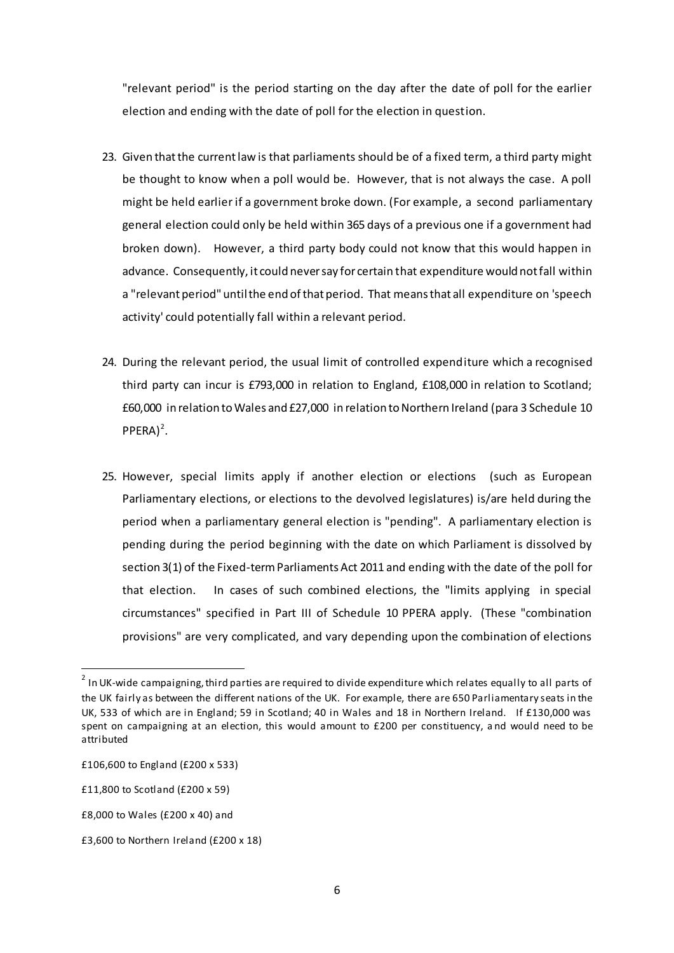"relevant period" is the period starting on the day after the date of poll for the earlier election and ending with the date of poll for the election in question.

- 23. Given that the current law is that parliaments should be of a fixed term, a third party might be thought to know when a poll would be. However, that is not always the case. A poll might be held earlier if a government broke down. (For example, a second parliamentary general election could only be held within 365 days of a previous one if a government had broken down). However, a third party body could not know that this would happen in advance. Consequently, it could never say for certain that expenditure would not fall within a "relevant period" until the end of that period. That means that all expenditure on 'speech activity' could potentially fall within a relevant period.
- 24. During the relevant period, the usual limit of controlled expenditure which a recognised third party can incur is £793,000 in relation to England, £108,000 in relation to Scotland; £60,000 in relation to Wales and £27,000 in relation to Northern Ireland (para 3 Schedule 10  $PPERA)^2$ .
- 25. However, special limits apply if another election or elections (such as European Parliamentary elections, or elections to the devolved legislatures) is/are held during the period when a parliamentary general election is "pending". A parliamentary election is pending during the period beginning with the date on which Parliament is dissolved by section 3(1) of the Fixed-term Parliaments Act 2011 and ending with the date of the poll for that election. In cases of such combined elections, the "limits applying in special circumstances" specified in Part III of Schedule 10 PPERA apply. (These "combination provisions" are very complicated, and vary depending upon the combination of elections

 $\overline{a}$ 

 $^2$  In UK-wide campaigning, third parties are required to divide expenditure which relates equally to all parts of the UK fairly as between the different nations of the UK. For example, there are 650 Parliamentary seats in the UK, 533 of which are in England; 59 in Scotland; 40 in Wales and 18 in Northern Ireland. If £130,000 was spent on campaigning at an election, this would amount to £200 per constituency, a nd would need to be attributed

<sup>£106,600</sup> to England (£200 x 533)

<sup>£11,800</sup> to Scotland (£200 x 59)

<sup>£8,000</sup> to Wales (£200 x 40) and

<sup>£3,600</sup> to Northern Ireland (£200 x 18)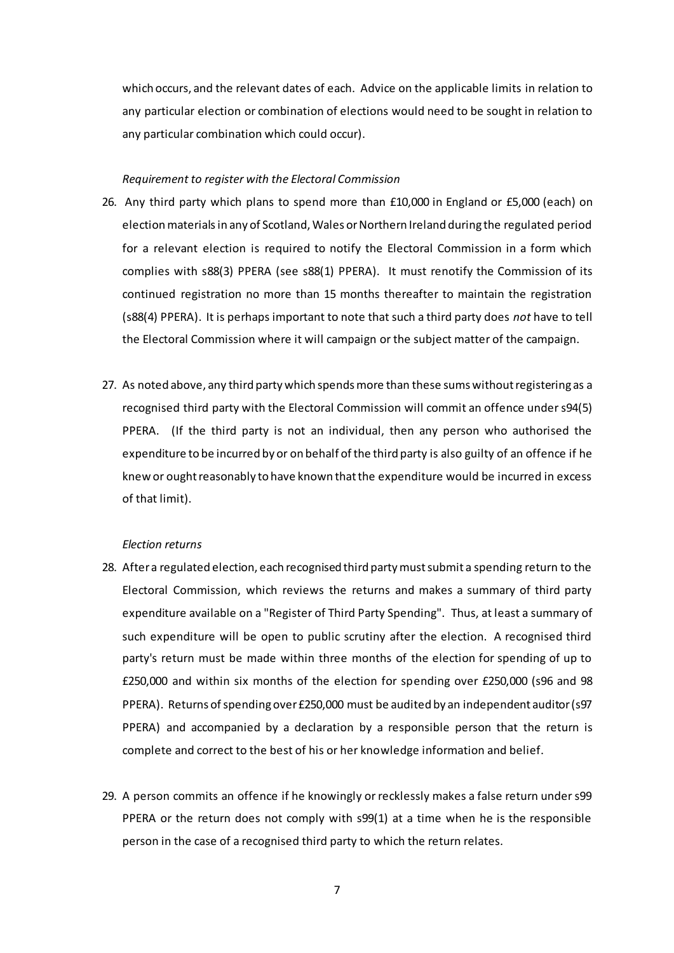which occurs, and the relevant dates of each. Advice on the applicable limits in relation to any particular election or combination of elections would need to be sought in relation to any particular combination which could occur).

#### *Requirement to register with the Electoral Commission*

- 26. Any third party which plans to spend more than £10,000 in England or £5,000 (each) on election materials in any of Scotland, Wales or Northern Ireland during the regulated period for a relevant election is required to notify the Electoral Commission in a form which complies with s88(3) PPERA (see s88(1) PPERA). It must renotify the Commission of its continued registration no more than 15 months thereafter to maintain the registration (s88(4) PPERA). It is perhaps important to note that such a third party does *not* have to tell the Electoral Commission where it will campaign or the subject matter of the campaign.
- 27. As noted above, any third party which spends more than these sums without registering as a recognised third party with the Electoral Commission will commit an offence under s94(5) PPERA. (If the third party is not an individual, then any person who authorised the expenditure to be incurred by or on behalf of the third party is also guilty of an offence if he knew or ought reasonably to have known that the expenditure would be incurred in excess of that limit).

### *Election returns*

- 28. After a regulated election, each recognised third party must submit a spending return to the Electoral Commission, which reviews the returns and makes a summary of third party expenditure available on a "Register of Third Party Spending". Thus, at least a summary of such expenditure will be open to public scrutiny after the election. A recognised third party's return must be made within three months of the election for spending of up to £250,000 and within six months of the election for spending over £250,000 (s96 and 98 PPERA). Returns of spending over £250,000 must be audited by an independent auditor (s97 PPERA) and accompanied by a declaration by a responsible person that the return is complete and correct to the best of his or her knowledge information and belief.
- 29. A person commits an offence if he knowingly or recklessly makes a false return under s99 PPERA or the return does not comply with s99(1) at a time when he is the responsible person in the case of a recognised third party to which the return relates.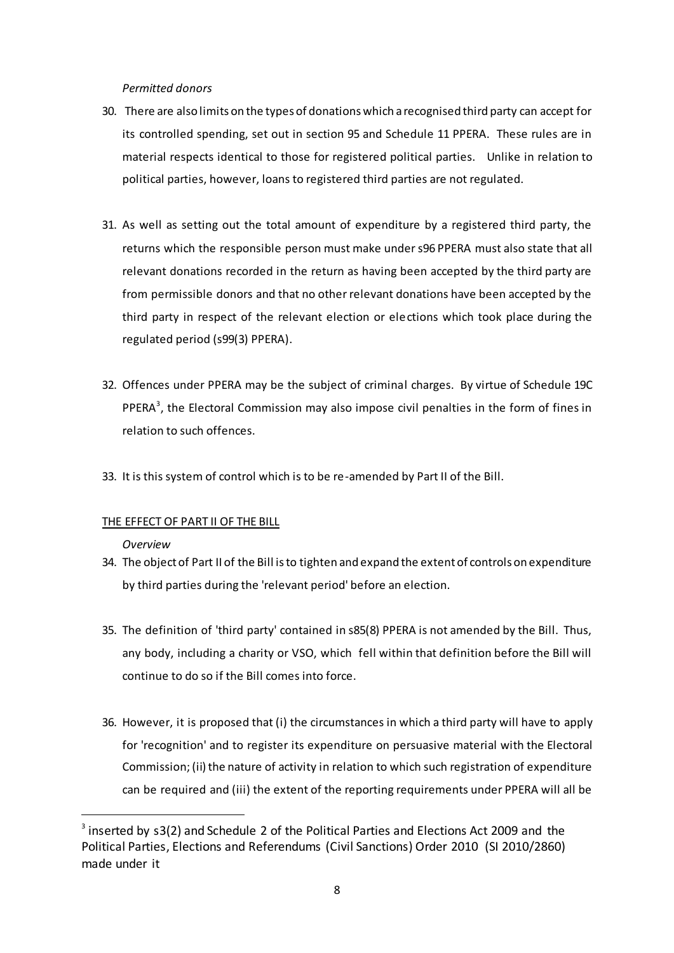## *Permitted donors*

- 30. There are also limits on the types of donations which a recognised third party can accept for its controlled spending, set out in section 95 and Schedule 11 PPERA. These rules are in material respects identical to those for registered political parties. Unlike in relation to political parties, however, loans to registered third parties are not regulated.
- 31. As well as setting out the total amount of expenditure by a registered third party, the returns which the responsible person must make under s96 PPERA must also state that all relevant donations recorded in the return as having been accepted by the third party are from permissible donors and that no other relevant donations have been accepted by the third party in respect of the relevant election or elections which took place during the regulated period (s99(3) PPERA).
- 32. Offences under PPERA may be the subject of criminal charges. By virtue of Schedule 19C PPERA<sup>3</sup>, the Electoral Commission may also impose civil penalties in the form of fines in relation to such offences.
- 33. It is this system of control which is to be re-amended by Part II of the Bill.

# THE EFFECT OF PART II OF THE BILL

## *Overview*

 $\overline{a}$ 

- 34. The object of Part II of the Bill is to tighten and expand the extent of controls on expenditure by third parties during the 'relevant period' before an election.
- 35. The definition of 'third party' contained in s85(8) PPERA is not amended by the Bill. Thus, any body, including a charity or VSO, which fell within that definition before the Bill will continue to do so if the Bill comes into force.
- 36. However, it is proposed that (i) the circumstances in which a third party will have to apply for 'recognition' and to register its expenditure on persuasive material with the Electoral Commission; (ii) the nature of activity in relation to which such registration of expenditure can be required and (iii) the extent of the reporting requirements under PPERA will all be

 $3$  inserted by s3(2) and Schedule 2 of the Political Parties and Elections Act 2009 and the Political Parties, Elections and Referendums (Civil Sanctions) Order 2010 (SI 2010/2860) made under it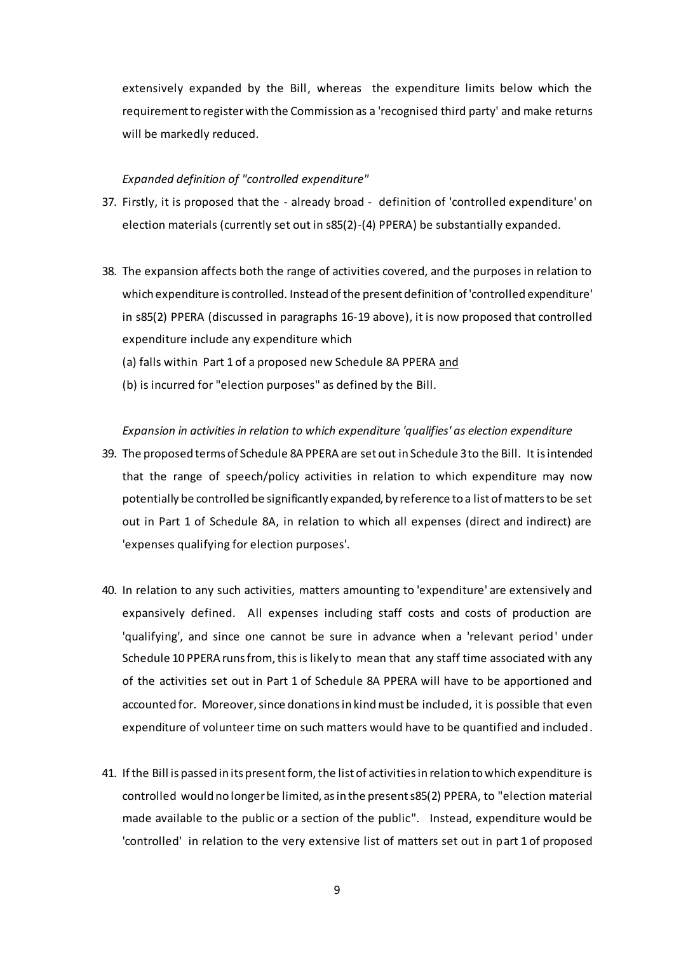extensively expanded by the Bill, whereas the expenditure limits below which the requirement to register with the Commission as a 'recognised third party' and make returns will be markedly reduced.

### *Expanded definition of "controlled expenditure"*

- 37. Firstly, it is proposed that the already broad definition of 'controlled expenditure' on election materials (currently set out in s85(2)-(4) PPERA) be substantially expanded.
- 38. The expansion affects both the range of activities covered, and the purposes in relation to which expenditure is controlled. Instead of the present definition of 'controlled expenditure' in s85(2) PPERA (discussed in paragraphs 16-19 above), it is now proposed that controlled expenditure include any expenditure which
	- (a) falls within Part 1 of a proposed new Schedule 8A PPERA and
	- (b) is incurred for "election purposes" as defined by the Bill.

*Expansion in activities in relation to which expenditure 'qualifies' as election expenditure*

- 39. The proposed terms of Schedule 8A PPERA are set out in Schedule 3 to the Bill. It is intended that the range of speech/policy activities in relation to which expenditure may now potentially be controlled be significantly expanded, by reference to a list of matters to be set out in Part 1 of Schedule 8A, in relation to which all expenses (direct and indirect) are 'expenses qualifying for election purposes'.
- 40. In relation to any such activities, matters amounting to 'expenditure' are extensively and expansively defined. All expenses including staff costs and costs of production are 'qualifying', and since one cannot be sure in advance when a 'relevant period' under Schedule 10 PPERA runs from, thisis likely to mean that any staff time associated with any of the activities set out in Part 1 of Schedule 8A PPERA will have to be apportioned and accounted for. Moreover, since donations in kind must be included, it is possible that even expenditure of volunteer time on such matters would have to be quantified and included.
- 41. If the Bill is passed in its present form, the list of activities in relation to which expenditure is controlled would no longer be limited, as in the present s85(2) PPERA, to "election material made available to the public or a section of the public". Instead, expenditure would be 'controlled' in relation to the very extensive list of matters set out in part 1 of proposed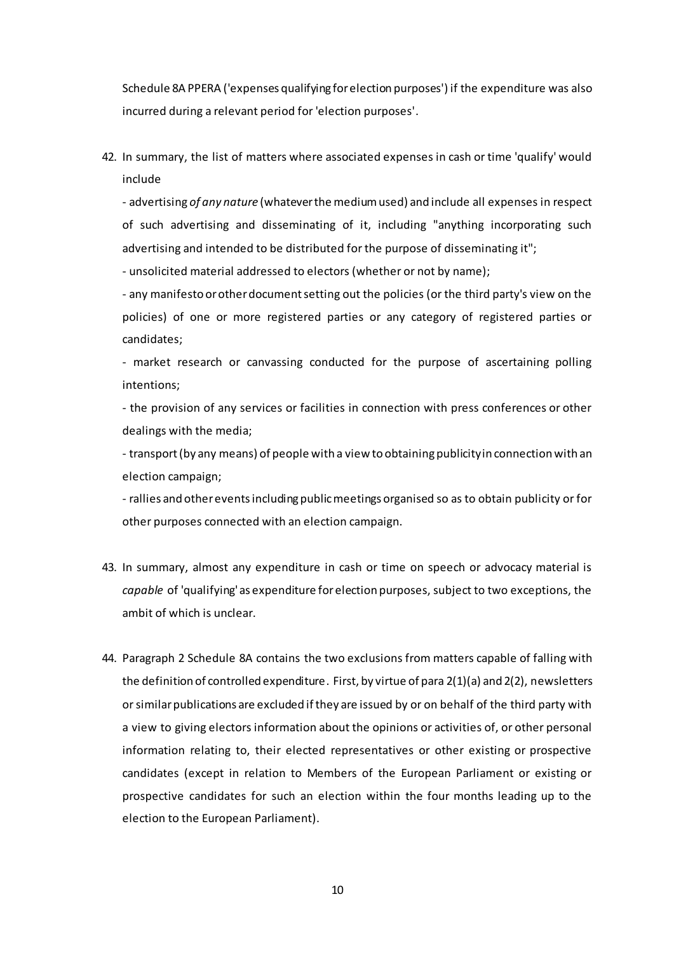Schedule 8A PPERA ('expenses qualifying for election purposes') if the expenditure was also incurred during a relevant period for 'election purposes'.

42. In summary, the list of matters where associated expenses in cash or time 'qualify' would include

- advertising *of any nature* (whatever the medium used) and include all expenses in respect of such advertising and disseminating of it, including "anything incorporating such advertising and intended to be distributed for the purpose of disseminating it";

- unsolicited material addressed to electors (whether or not by name);

- any manifesto or other document setting out the policies (or the third party's view on the policies) of one or more registered parties or any category of registered parties or candidates;

- market research or canvassing conducted for the purpose of ascertaining polling intentions;

- the provision of any services or facilities in connection with press conferences or other dealings with the media;

- transport (by any means) of people with a view to obtaining publicity in connection with an election campaign;

- rallies and other events including public meetings organised so as to obtain publicity or for other purposes connected with an election campaign.

- 43. In summary, almost any expenditure in cash or time on speech or advocacy material is *capable* of 'qualifying' as expenditure for election purposes, subject to two exceptions, the ambit of which is unclear.
- 44. Paragraph 2 Schedule 8A contains the two exclusions from matters capable of falling with the definition of controlled expenditure. First, by virtue of para 2(1)(a) and 2(2), newsletters or similar publications are excluded if they are issued by or on behalf of the third party with a view to giving electors information about the opinions or activities of, or other personal information relating to, their elected representatives or other existing or prospective candidates (except in relation to Members of the European Parliament or existing or prospective candidates for such an election within the four months leading up to the election to the European Parliament).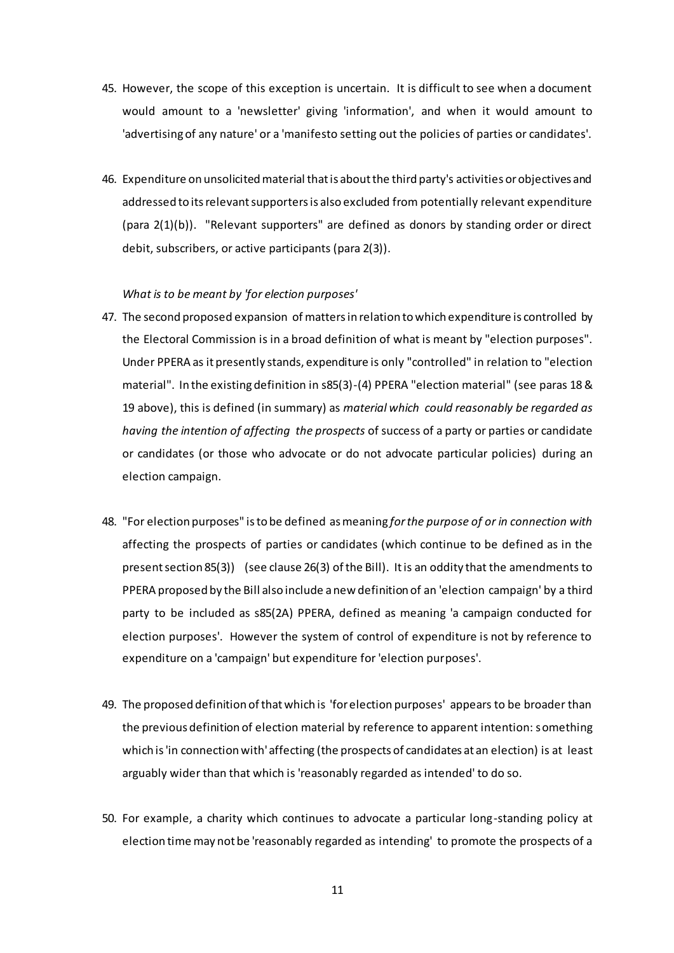- 45. However, the scope of this exception is uncertain. It is difficult to see when a document would amount to a 'newsletter' giving 'information', and when it would amount to 'advertising of any nature' or a 'manifesto setting out the policies of parties or candidates'.
- 46. Expenditure on unsolicited material that is about the third party's activities or objectives and addressed to its relevant supporters is also excluded from potentially relevant expenditure (para 2(1)(b)). "Relevant supporters" are defined as donors by standing order or direct debit, subscribers, or active participants (para 2(3)).

## *What is to be meant by 'for election purposes'*

- 47. The second proposed expansion of matters in relation to which expenditure is controlled by the Electoral Commission is in a broad definition of what is meant by "election purposes". Under PPERA as it presently stands, expenditure is only "controlled" in relation to "election material". In the existing definition in s85(3)-(4) PPERA "election material" (see paras 18 & 19 above), this is defined (in summary) as *material which could reasonably be regarded as having the intention of affecting the prospects* of success of a party or parties or candidate or candidates (or those who advocate or do not advocate particular policies) during an election campaign.
- 48. "For election purposes" is to be defined as meaning *for the purpose of or in connection with*  affecting the prospects of parties or candidates (which continue to be defined as in the present section 85(3)) (see clause 26(3) of the Bill). It is an oddity that the amendments to PPERA proposed by the Bill also include a new definition of an 'election campaign' by a third party to be included as s85(2A) PPERA, defined as meaning 'a campaign conducted for election purposes'. However the system of control of expenditure is not by reference to expenditure on a 'campaign' but expenditure for 'election purposes'.
- 49. The proposed definition of that which is 'for election purposes' appears to be broader than the previous definition of election material by reference to apparent intention: something which is 'in connection with' affecting (the prospects of candidates at an election) is at least arguably wider than that which is 'reasonably regarded as intended' to do so.
- 50. For example, a charity which continues to advocate a particular long-standing policy at election time may not be 'reasonably regarded as intending' to promote the prospects of a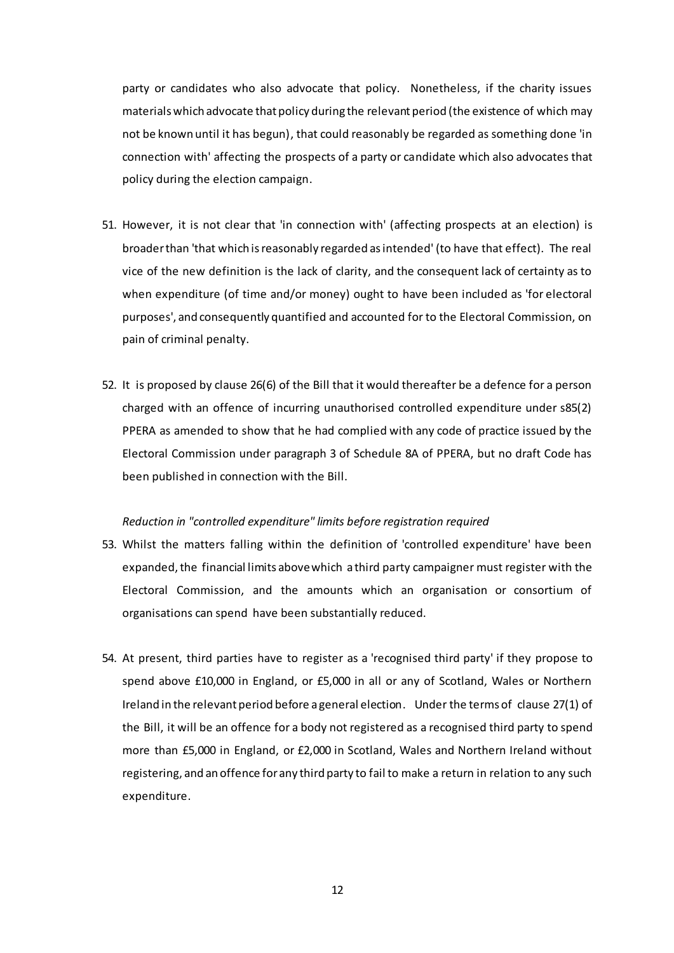party or candidates who also advocate that policy. Nonetheless, if the charity issues materials which advocate that policy during the relevant period (the existence of which may not be known until it has begun), that could reasonably be regarded as something done 'in connection with' affecting the prospects of a party or candidate which also advocates that policy during the election campaign.

- 51. However, it is not clear that 'in connection with' (affecting prospects at an election) is broader than 'that which is reasonably regarded as intended' (to have that effect). The real vice of the new definition is the lack of clarity, and the consequent lack of certainty as to when expenditure (of time and/or money) ought to have been included as 'for electoral purposes', and consequently quantified and accounted for to the Electoral Commission, on pain of criminal penalty.
- 52. It is proposed by clause 26(6) of the Bill that it would thereafter be a defence for a person charged with an offence of incurring unauthorised controlled expenditure under s85(2) PPERA as amended to show that he had complied with any code of practice issued by the Electoral Commission under paragraph 3 of Schedule 8A of PPERA, but no draft Code has been published in connection with the Bill.

#### *Reduction in "controlled expenditure" limits before registration required*

- 53. Whilst the matters falling within the definition of 'controlled expenditure' have been expanded, the financial limits above which a third party campaigner must register with the Electoral Commission, and the amounts which an organisation or consortium of organisations can spend have been substantially reduced.
- 54. At present, third parties have to register as a 'recognised third party' if they propose to spend above £10,000 in England, or £5,000 in all or any of Scotland, Wales or Northern Ireland in the relevant period before a general election. Under the terms of clause 27(1) of the Bill, it will be an offence for a body not registered as a recognised third party to spend more than £5,000 in England, or £2,000 in Scotland, Wales and Northern Ireland without registering, and an offence for any third party to fail to make a return in relation to any such expenditure.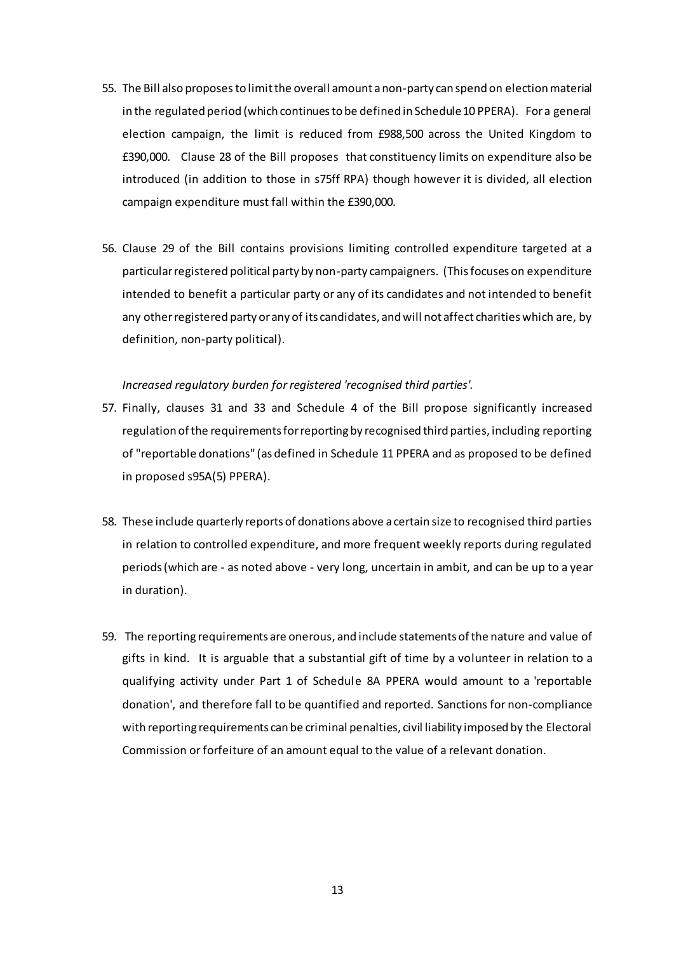- 55. The Bill also proposes to limit the overall amount a non-party can spend on election material in the regulated period (which continues to be defined in Schedule 10 PPERA). For a general election campaign, the limit is reduced from £988,500 across the United Kingdom to £390,000. Clause 28 of the Bill proposes that constituency limits on expenditure also be introduced (in addition to those in s75ff RPA) though however it is divided, all election campaign expenditure must fall within the £390,000.
- 56. Clause 29 of the Bill contains provisions limiting controlled expenditure targeted at a particular registered political party by non-party campaigners. (This focuses on expenditure intended to benefit a particular party or any of its candidates and not intended to benefit any other registered party or any of its candidates, and will not affect charities which are, by definition, non-party political).

## *Increased regulatory burden for registered 'recognised third parties'.*

- 57. Finally, clauses 31 and 33 and Schedule 4 of the Bill propose significantly increased regulation of the requirements for reporting by recognised third parties, including reporting of "reportable donations" (as defined in Schedule 11 PPERA and as proposed to be defined in proposed s95A(5) PPERA).
- 58. These include quarterly reports of donations above a certain size to recognised third parties in relation to controlled expenditure, and more frequent weekly reports during regulated periods (which are - as noted above - very long, uncertain in ambit, and can be up to a year in duration).
- 59. The reporting requirements are onerous, and include statements of the nature and value of gifts in kind. It is arguable that a substantial gift of time by a volunteer in relation to a qualifying activity under Part 1 of Schedule 8A PPERA would amount to a 'reportable donation', and therefore fall to be quantified and reported. Sanctions for non-compliance with reporting requirements can be criminal penalties, civil liability imposed by the Electoral Commission or forfeiture of an amount equal to the value of a relevant donation.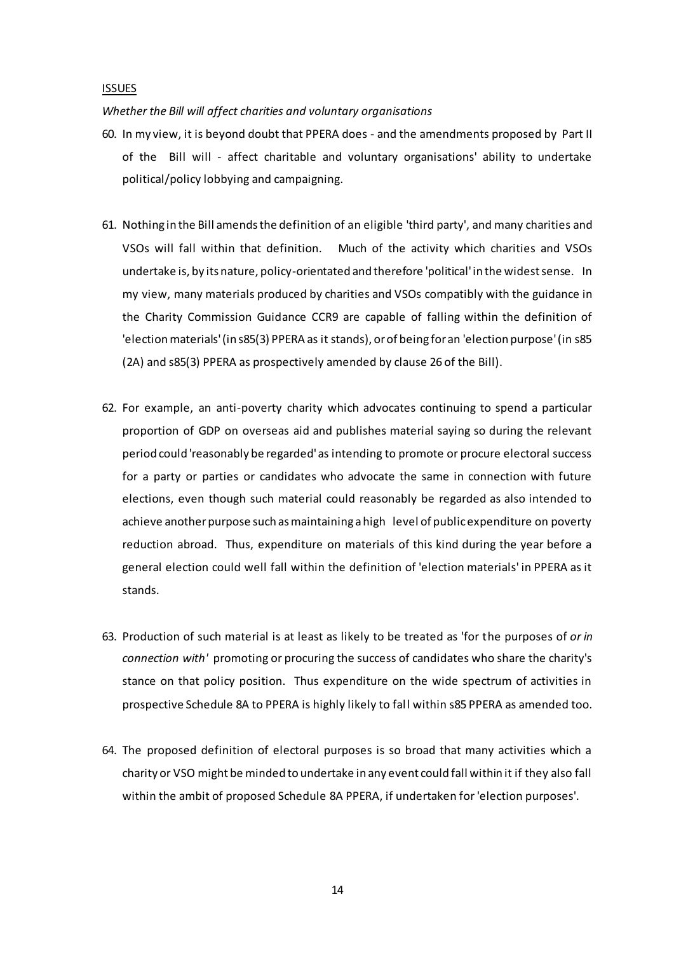#### ISSUES

*Whether the Bill will affect charities and voluntary organisations*

- 60. In my view, it is beyond doubt that PPERA does and the amendments proposed by Part II of the Bill will - affect charitable and voluntary organisations' ability to undertake political/policy lobbying and campaigning.
- 61. Nothing in the Bill amends the definition of an eligible 'third party', and many charities and VSOs will fall within that definition. Much of the activity which charities and VSOs undertake is, by its nature, policy-orientated and therefore 'political' in the widest sense. In my view, many materials produced by charities and VSOs compatibly with the guidance in the Charity Commission Guidance CCR9 are capable of falling within the definition of 'election materials' (in s85(3) PPERA as it stands), or of being for an 'election purpose' (in s85 (2A) and s85(3) PPERA as prospectively amended by clause 26 of the Bill).
- 62. For example, an anti-poverty charity which advocates continuing to spend a particular proportion of GDP on overseas aid and publishes material saying so during the relevant period could 'reasonably be regarded' as intending to promote or procure electoral success for a party or parties or candidates who advocate the same in connection with future elections, even though such material could reasonably be regarded as also intended to achieve another purpose such as maintaining a high level of public expenditure on poverty reduction abroad. Thus, expenditure on materials of this kind during the year before a general election could well fall within the definition of 'election materials' in PPERA as it stands.
- 63. Production of such material is at least as likely to be treated as 'for the purposes of *or in connection with'* promoting or procuring the success of candidates who share the charity's stance on that policy position. Thus expenditure on the wide spectrum of activities in prospective Schedule 8A to PPERA is highly likely to fall within s85 PPERA as amended too.
- 64. The proposed definition of electoral purposes is so broad that many activities which a charity or VSO might be minded to undertake in any event could fall within it if they also fall within the ambit of proposed Schedule 8A PPERA, if undertaken for 'election purposes'.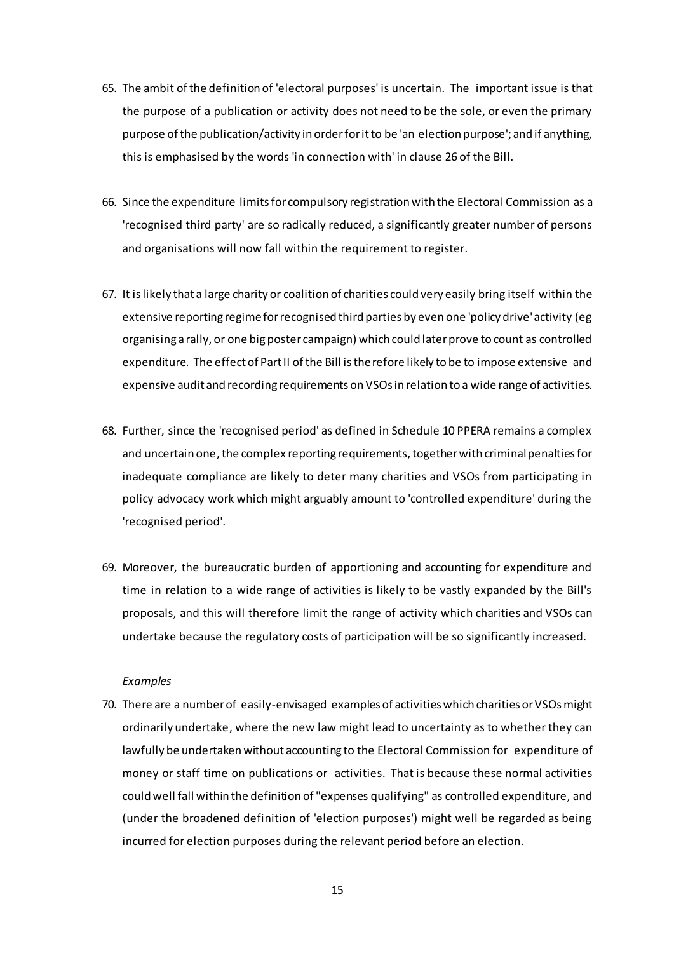- 65. The ambit of the definition of 'electoral purposes' is uncertain. The important issue is that the purpose of a publication or activity does not need to be the sole, or even the primary purpose of the publication/activity in order for it to be 'an election purpose'; and if anything, this is emphasised by the words 'in connection with' in clause 26 of the Bill.
- 66. Since the expenditure limits for compulsory registration with the Electoral Commission as a 'recognised third party' are so radically reduced, a significantly greater number of persons and organisations will now fall within the requirement to register.
- 67. It is likely that a large charity or coalition of charities could very easily bring itself within the extensive reporting regime for recognised third parties by even one 'policy drive' activity (eg organising a rally, or one big poster campaign) which could later prove to count as controlled expenditure. The effect of Part II of the Bill is therefore likely to be to impose extensive and expensive audit and recording requirements on VSOs in relation to a wide range of activities.
- 68. Further, since the 'recognised period' as defined in Schedule 10 PPERA remains a complex and uncertain one, the complex reporting requirements, together with criminal penalties for inadequate compliance are likely to deter many charities and VSOs from participating in policy advocacy work which might arguably amount to 'controlled expenditure' during the 'recognised period'.
- 69. Moreover, the bureaucratic burden of apportioning and accounting for expenditure and time in relation to a wide range of activities is likely to be vastly expanded by the Bill's proposals, and this will therefore limit the range of activity which charities and VSOs can undertake because the regulatory costs of participation will be so significantly increased.

## *Examples*

70. There are a number of easily-envisaged examples of activities which charities or VSOs might ordinarily undertake, where the new law might lead to uncertainty as to whether they can lawfully be undertaken without accounting to the Electoral Commission for expenditure of money or staff time on publications or activities. That is because these normal activities could well fall within the definition of "expenses qualifying" as controlled expenditure, and (under the broadened definition of 'election purposes') might well be regarded as being incurred for election purposes during the relevant period before an election.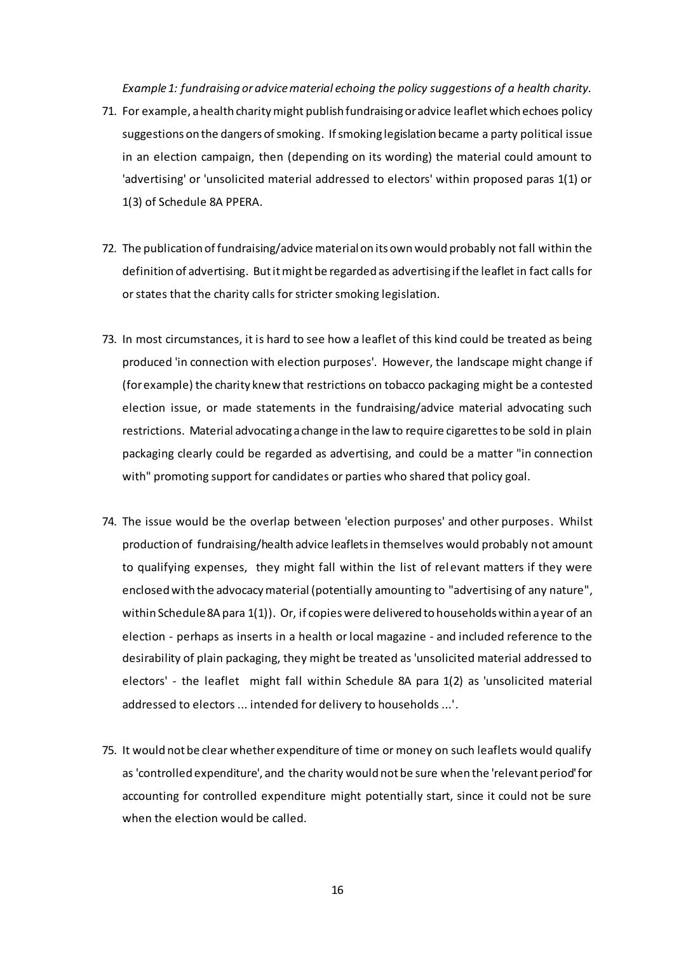*Example 1: fundraising or advice material echoing the policy suggestions of a health charity.*

- 71. For example, a health charity might publish fundraising or advice leaflet which echoes policy suggestions on the dangers of smoking. If smoking legislation became a party political issue in an election campaign, then (depending on its wording) the material could amount to 'advertising' or 'unsolicited material addressed to electors' within proposed paras 1(1) or 1(3) of Schedule 8A PPERA.
- 72. The publication of fundraising/advice material on its own would probably not fall within the definition of advertising. But it might be regarded as advertising if the leaflet in fact calls for or states that the charity calls for stricter smoking legislation.
- 73. In most circumstances, it is hard to see how a leaflet of this kind could be treated as being produced 'in connection with election purposes'. However, the landscape might change if (for example) the charity knew that restrictions on tobacco packaging might be a contested election issue, or made statements in the fundraising/advice material advocating such restrictions. Material advocating a change in the law to require cigarettes to be sold in plain packaging clearly could be regarded as advertising, and could be a matter "in connection with" promoting support for candidates or parties who shared that policy goal.
- 74. The issue would be the overlap between 'election purposes' and other purposes. Whilst production of fundraising/health advice leaflets in themselves would probably not amount to qualifying expenses, they might fall within the list of relevant matters if they were enclosed with the advocacy material (potentially amounting to "advertising of any nature", within Schedule 8A para 1(1)). Or, if copies were delivered to households within a year of an election - perhaps as inserts in a health or local magazine - and included reference to the desirability of plain packaging, they might be treated as 'unsolicited material addressed to electors' - the leaflet might fall within Schedule 8A para 1(2) as 'unsolicited material addressed to electors ... intended for delivery to households ...'.
- 75. It would not be clear whether expenditure of time or money on such leaflets would qualify as 'controlled expenditure', and the charity would not be sure when the 'relevant period' for accounting for controlled expenditure might potentially start, since it could not be sure when the election would be called.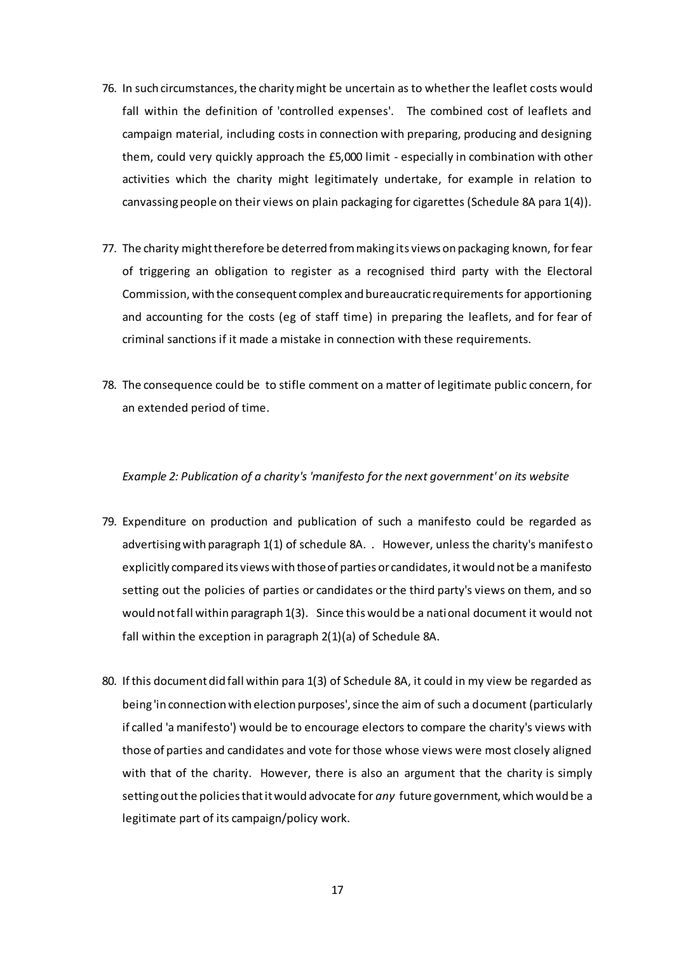- 76. In such circumstances, the charity might be uncertain as to whether the leaflet costs would fall within the definition of 'controlled expenses'. The combined cost of leaflets and campaign material, including costs in connection with preparing, producing and designing them, could very quickly approach the £5,000 limit - especially in combination with other activities which the charity might legitimately undertake, for example in relation to canvassing people on their views on plain packaging for cigarettes (Schedule 8A para 1(4)).
- 77. The charity might therefore be deterred from making its views on packaging known, for fear of triggering an obligation to register as a recognised third party with the Electoral Commission, with the consequent complex and bureaucratic requirements for apportioning and accounting for the costs (eg of staff time) in preparing the leaflets, and for fear of criminal sanctions if it made a mistake in connection with these requirements.
- 78. The consequence could be to stifle comment on a matter of legitimate public concern, for an extended period of time.

### *Example 2: Publication of a charity's 'manifesto for the next government' on its website*

- 79. Expenditure on production and publication of such a manifesto could be regarded as advertising with paragraph 1(1) of schedule 8A. . However, unless the charity's manifesto explicitly compared its views with those of parties or candidates, it would not be a manifesto setting out the policies of parties or candidates or the third party's views on them, and so would not fall within paragraph 1(3). Since this would be a national document it would not fall within the exception in paragraph 2(1)(a) of Schedule 8A.
- 80. If this document did fall within para 1(3) of Schedule 8A, it could in my view be regarded as being 'in connection with election purposes', since the aim of such a document (particularly if called 'a manifesto') would be to encourage electors to compare the charity's views with those of parties and candidates and vote for those whose views were most closely aligned with that of the charity. However, there is also an argument that the charity is simply setting out the policies that it would advocate for *any* future government, which would be a legitimate part of its campaign/policy work.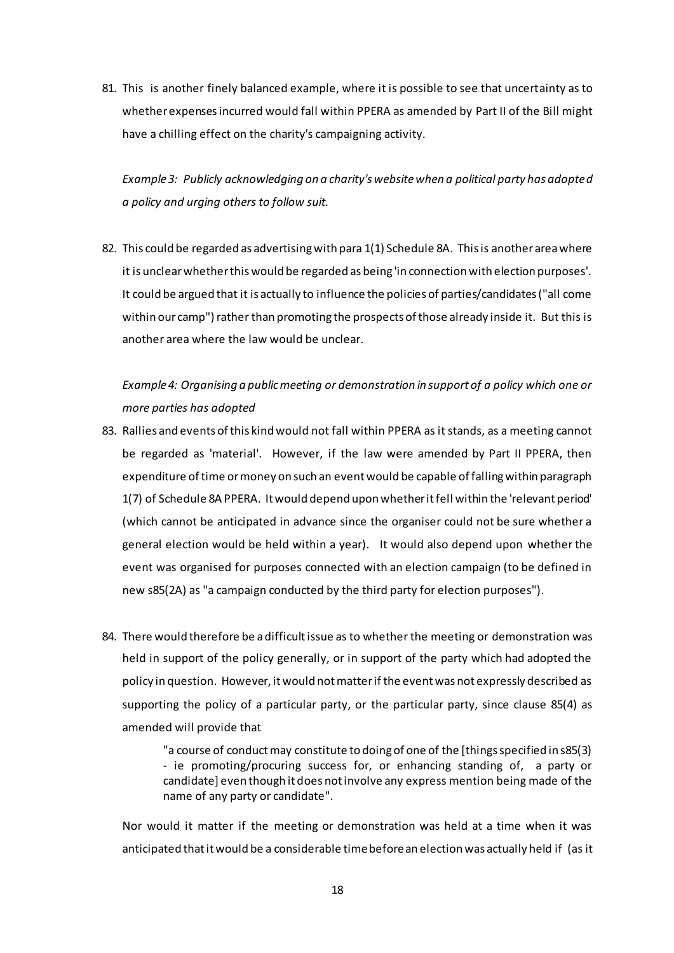81. This is another finely balanced example, where it is possible to see that uncertainty as to whether expenses incurred would fall within PPERA as amended by Part II of the Bill might have a chilling effect on the charity's campaigning activity.

*Example 3: Publicly acknowledging on a charity's website when a political party has adopted a policy and urging others to follow suit.*

82. This could be regarded as advertising with para 1(1) Schedule 8A. This is another area where it is unclear whether this would be regarded as being 'in connection with election purposes'. It could be argued that it is actually to influence the policies of parties/candidates ("all come within our camp") rather than promoting the prospects of those already inside it. But this is another area where the law would be unclear.

*Example 4: Organising a public meeting or demonstration in support of a policy which one or more parties has adopted*

- 83. Rallies and events of this kind would not fall within PPERA as it stands, as a meeting cannot be regarded as 'material'. However, if the law were amended by Part II PPERA, then expenditure of time or money on such an event would be capable of falling within paragraph 1(7) of Schedule 8A PPERA. It would depend upon whether it fell within the 'relevant period' (which cannot be anticipated in advance since the organiser could not be sure whether a general election would be held within a year). It would also depend upon whether the event was organised for purposes connected with an election campaign (to be defined in new s85(2A) as "a campaign conducted by the third party for election purposes").
- 84. There would therefore be a difficult issue as to whether the meeting or demonstration was held in support of the policy generally, or in support of the party which had adopted the policy in question. However, it would not matter if the event was not expressly described as supporting the policy of a particular party, or the particular party, since clause 85(4) as amended will provide that

"a course of conduct may constitute to doing of one of the [things specified in s85(3) - ie promoting/procuring success for, or enhancing standing of, a party or candidate] even though it does not involve any express mention being made of the name of any party or candidate".

Nor would it matter if the meeting or demonstration was held at a time when it was anticipated that it would be a considerable time before an election was actually held if (as it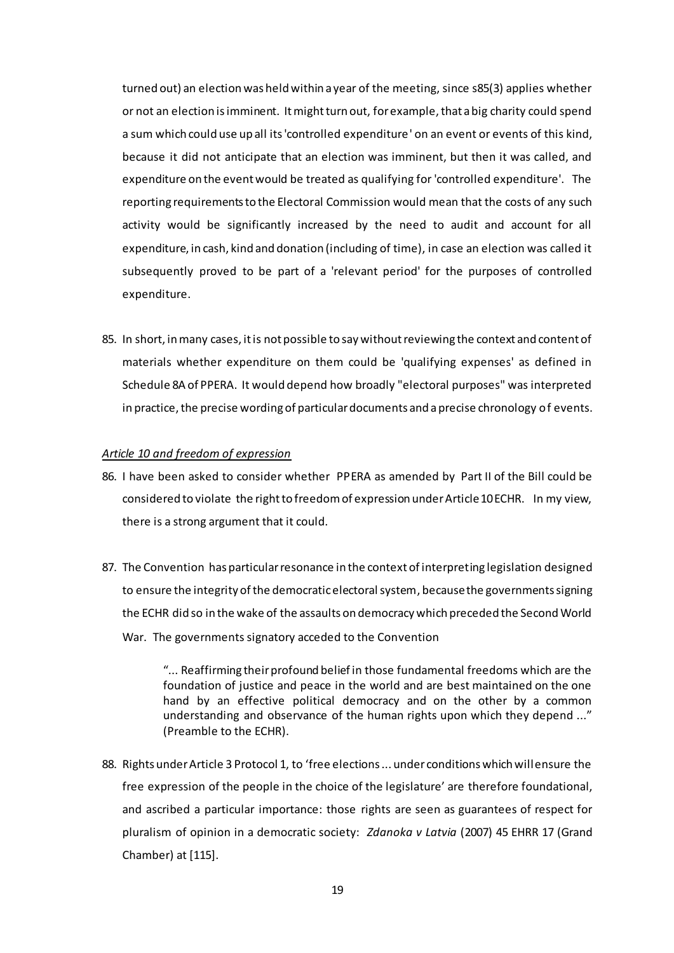turned out) an election was held within a year of the meeting, since s85(3) applies whether or not an election is imminent. It might turn out, for example, that a big charity could spend a sum which could use up all its 'controlled expenditure' on an event or events of this kind, because it did not anticipate that an election was imminent, but then it was called, and expenditure on the event would be treated as qualifying for 'controlled expenditure'. The reporting requirements to the Electoral Commission would mean that the costs of any such activity would be significantly increased by the need to audit and account for all expenditure, in cash, kind and donation (including of time), in case an election was called it subsequently proved to be part of a 'relevant period' for the purposes of controlled expenditure.

85. In short, in many cases, it is not possible to say without reviewing the context and content of materials whether expenditure on them could be 'qualifying expenses' as defined in Schedule 8A of PPERA. It would depend how broadly "electoral purposes" was interpreted in practice, the precise wording of particular documents and a precise chronology of events.

### *Article 10 and freedom of expression*

- 86. I have been asked to consider whether PPERA as amended by Part II of the Bill could be considered to violate the right to freedom of expression under Article 10 ECHR. In my view, there is a strong argument that it could.
- 87. The Convention has particular resonance in the context of interpreting legislation designed to ensure the integrity of the democratic electoral system, because the governments signing the ECHR did so in the wake of the assaults on democracy which preceded the Second World War. The governments signatory acceded to the Convention

"... Reaffirming their profound belief in those fundamental freedoms which are the foundation of justice and peace in the world and are best maintained on the one hand by an effective political democracy and on the other by a common understanding and observance of the human rights upon which they depend ..." (Preamble to the ECHR).

88. Rights under Article 3 Protocol 1, to 'free elections ... under conditions which will ensure the free expression of the people in the choice of the legislature' are therefore foundational, and ascribed a particular importance: those rights are seen as guarantees of respect for pluralism of opinion in a democratic society: *Zdanoka v Latvia* (2007) 45 EHRR 17 (Grand Chamber) at [115].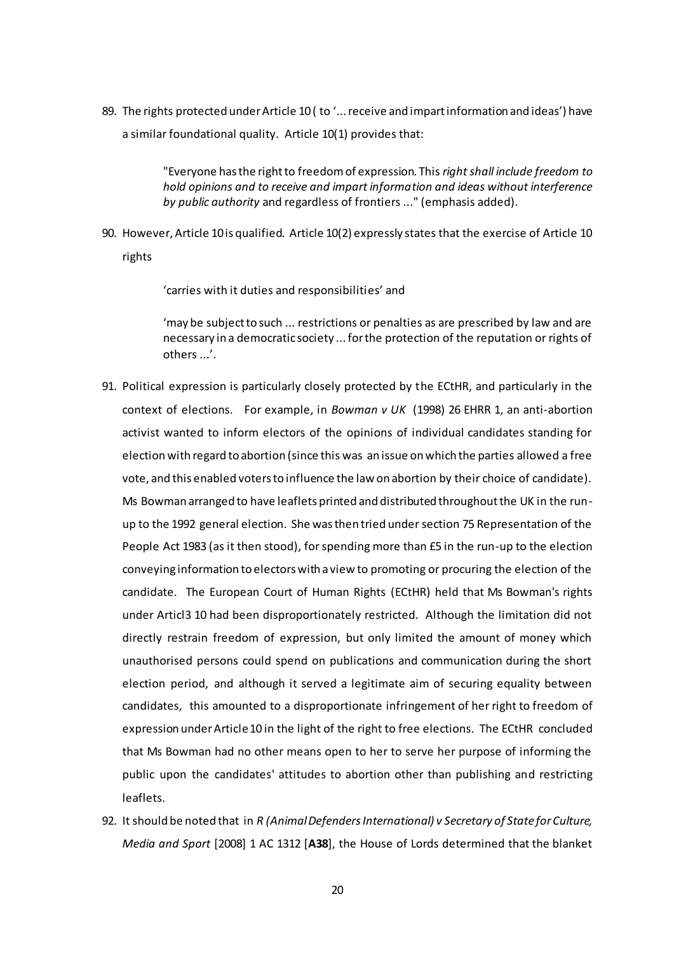89. The rights protected under Article 10 (to '... receive and impart information and ideas') have a similar foundational quality. Article 10(1) provides that:

> "Everyone has the right to freedom of expression. This *right shall include freedom to hold opinions and to receive and impart information and ideas without interference by public authority* and regardless of frontiers ..." (emphasis added).

90. However, Article 10is qualified. Article 10(2) expressly states that the exercise of Article 10 rights

'carries with it duties and responsibilities' and

'may be subject to such ... restrictions or penalties as are prescribed by law and are necessary in a democratic society ... for the protection of the reputation or rights of others ...'.

- 91. Political expression is particularly closely protected by the ECtHR, and particularly in the context of elections. For example, in *Bowman v UK* (1998) 26 EHRR 1, an anti-abortion activist wanted to inform electors of the opinions of individual candidates standing for election with regard to abortion (since this was an issue on which the parties allowed a free vote, and this enabled voters to influence the law on abortion by their choice of candidate). Ms Bowman arranged to have leaflets printed and distributed throughout the UK in the runup to the 1992 general election. She was then tried under section 75 Representation of the People Act 1983 (as it then stood), for spending more than £5 in the run-up to the election conveying information to electors with a view to promoting or procuring the election of the candidate. The European Court of Human Rights (ECtHR) held that Ms Bowman's rights under Articl3 10 had been disproportionately restricted. Although the limitation did not directly restrain freedom of expression, but only limited the amount of money which unauthorised persons could spend on publications and communication during the short election period, and although it served a legitimate aim of securing equality between candidates, this amounted to a disproportionate infringement of her right to freedom of expression under Article10 in the light of the right to free elections. The ECtHR concluded that Ms Bowman had no other means open to her to serve her purpose of informing the public upon the candidates' attitudes to abortion other than publishing and restricting leaflets.
- 92. It should be noted that in *R (Animal Defenders International) v Secretary of State for Culture, Media and Sport* [2008] 1 AC 1312 [**A38**], the House of Lords determined that the blanket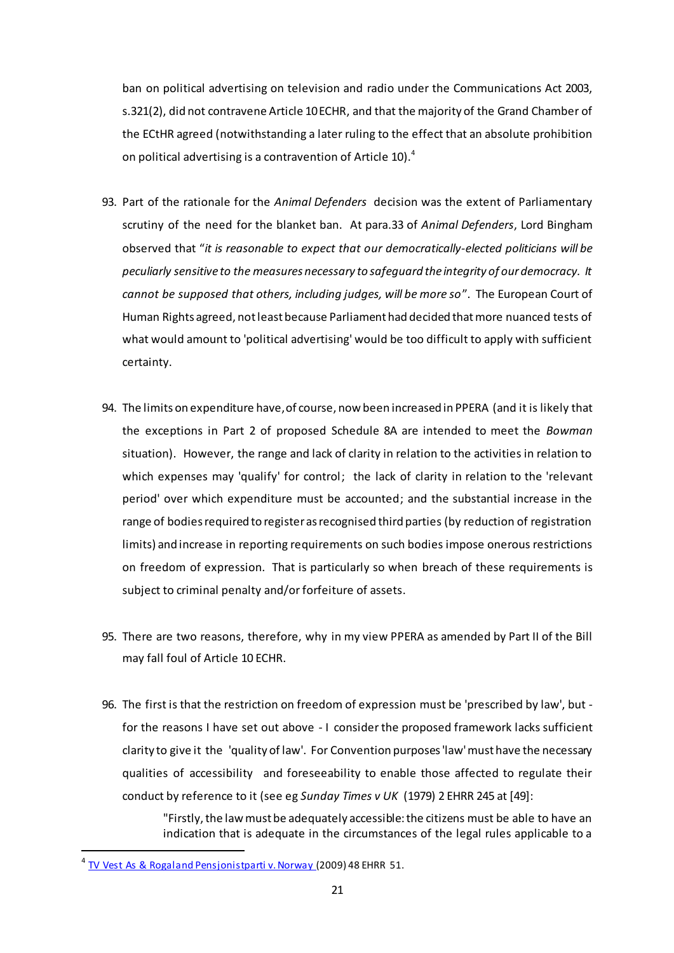ban on political advertising on television and radio under the Communications Act 2003, s.321(2), did not contravene Article 10 ECHR, and that the majority of the Grand Chamber of the ECtHR agreed (notwithstanding a later ruling to the effect that an absolute prohibition on political advertising is a contravention of Article 10).<sup>4</sup>

- 93. Part of the rationale for the *Animal Defenders* decision was the extent of Parliamentary scrutiny of the need for the blanket ban. At para.33 of *Animal Defenders*, Lord Bingham observed that "*it is reasonable to expect that our democratically-elected politicians will be peculiarly sensitive to the measures necessary to safeguard the integrity of our democracy. It cannot be supposed that others, including judges, will be more so*". The European Court of Human Rights agreed, not least because Parliament had decided that more nuanced tests of what would amount to 'political advertising' would be too difficult to apply with sufficient certainty.
- 94. The limits on expenditure have, of course, now been increased in PPERA (and it is likely that the exceptions in Part 2 of proposed Schedule 8A are intended to meet the *Bowman*  situation). However, the range and lack of clarity in relation to the activities in relation to which expenses may 'qualify' for control; the lack of clarity in relation to the 'relevant period' over which expenditure must be accounted; and the substantial increase in the range of bodies required to register as recognised third parties (by reduction of registration limits) and increase in reporting requirements on such bodies impose onerous restrictions on freedom of expression. That is particularly so when breach of these requirements is subject to criminal penalty and/or forfeiture of assets.
- 95. There are two reasons, therefore, why in my view PPERA as amended by Part II of the Bill may fall foul of Article 10 ECHR.
- 96. The first is that the restriction on freedom of expression must be 'prescribed by law', but for the reasons I have set out above - I consider the proposed framework lacks sufficient clarity to give it the 'quality of law'. For Convention purposes 'law' must have the necessary qualities of accessibility and foreseeability to enable those affected to regulate their conduct by reference to it (see eg *Sunday Times v UK* (1979) 2 EHRR 245 at [49]:

"Firstly, the law must be adequately accessible: the citizens must be able to have an indication that is adequate in the circumstances of the legal rules applicable to a

 $\overline{a}$ 

<sup>4</sup> [TV Vest As & Rogaland Pensjonistparti v. Norway \(](http://www.bailii.org/cgi-bin/markup.cgi?doc=/eu/cases/ECHR/2008/1687.html&query=animal+and+defenders&method=boolean)2009) 48 EHRR 51.